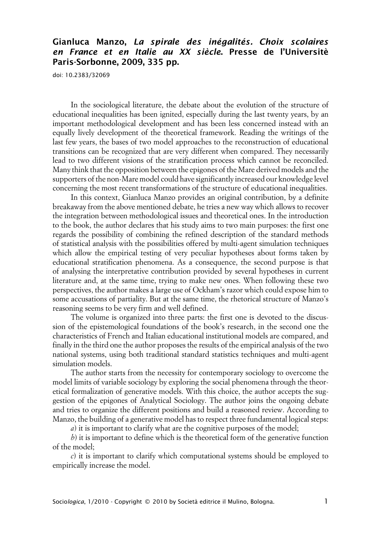## **Gianluca Manzo, La spirale des inégalités. Choix scolaires en France et en Italie au XX siècle. Presse de l'Universitè Paris-Sorbonne, 2009, 335 pp.**

doi: 10.2383/32069

In the sociological literature, the debate about the evolution of the structure of educational inequalities has been ignited, especially during the last twenty years, by an important methodological development and has been less concerned instead with an equally lively development of the theoretical framework. Reading the writings of the last few years, the bases of two model approaches to the reconstruction of educational transitions can be recognized that are very different when compared. They necessarily lead to two different visions of the stratification process which cannot be reconciled. Many think that the opposition between the epigones of the Mare derived models and the supporters of the non-Mare model could have significantly increased our knowledge level concerning the most recent transformations of the structure of educational inequalities.

In this context, Gianluca Manzo provides an original contribution, by a definite breakaway from the above mentioned debate, he tries a new way which allows to recover the integration between methodological issues and theoretical ones. In the introduction to the book, the author declares that his study aims to two main purposes: the first one regards the possibility of combining the refined description of the standard methods of statistical analysis with the possibilities offered by multi-agent simulation techniques which allow the empirical testing of very peculiar hypotheses about forms taken by educational stratification phenomena. As a consequence, the second purpose is that of analysing the interpretative contribution provided by several hypotheses in current literature and, at the same time, trying to make new ones. When following these two perspectives, the author makes a large use of Ockham's razor which could expose him to some accusations of partiality. But at the same time, the rhetorical structure of Manzo's reasoning seems to be very firm and well defined.

The volume is organized into three parts: the first one is devoted to the discussion of the epistemological foundations of the book's research, in the second one the characteristics of French and Italian educational institutional models are compared, and finally in the third one the author proposes the results of the empirical analysis of the two national systems, using both traditional standard statistics techniques and multi-agent simulation models.

The author starts from the necessity for contemporary sociology to overcome the model limits of variable sociology by exploring the social phenomena through the theoretical formalization of generative models. With this choice, the author accepts the suggestion of the epigones of Analytical Sociology. The author joins the ongoing debate and tries to organize the different positions and build a reasoned review. According to Manzo, the building of a generative model has to respect three fundamental logical steps:

*a*) it is important to clarify what are the cognitive purposes of the model;

*b*) it is important to define which is the theoretical form of the generative function of the model;

*c*) it is important to clarify which computational systems should be employed to empirically increase the model.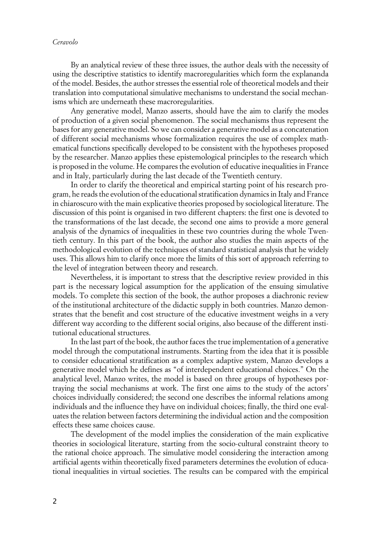## *Ceravolo*

By an analytical review of these three issues, the author deals with the necessity of using the descriptive statistics to identify macroregularities which form the explananda of the model. Besides, the author stresses the essential role of theoretical models and their translation into computational simulative mechanisms to understand the social mechanisms which are underneath these macroregularities.

Any generative model, Manzo asserts, should have the aim to clarify the modes of production of a given social phenomenon. The social mechanisms thus represent the bases for any generative model. So we can consider a generative model as a concatenation of different social mechanisms whose formalization requires the use of complex mathematical functions specifically developed to be consistent with the hypotheses proposed by the researcher. Manzo applies these epistemological principles to the research which is proposed in the volume. He compares the evolution of educative inequalities in France and in Italy, particularly during the last decade of the Twentieth century.

In order to clarify the theoretical and empirical starting point of his research program, he reads the evolution of the educational stratification dynamics in Italy and France in chiaroscuro with the main explicative theories proposed by sociological literature. The discussion of this point is organised in two different chapters: the first one is devoted to the transformations of the last decade, the second one aims to provide a more general analysis of the dynamics of inequalities in these two countries during the whole Twentieth century. In this part of the book, the author also studies the main aspects of the methodological evolution of the techniques of standard statistical analysis that he widely uses. This allows him to clarify once more the limits of this sort of approach referring to the level of integration between theory and research.

Nevertheless, it is important to stress that the descriptive review provided in this part is the necessary logical assumption for the application of the ensuing simulative models. To complete this section of the book, the author proposes a diachronic review of the institutional architecture of the didactic supply in both countries. Manzo demonstrates that the benefit and cost structure of the educative investment weighs in a very different way according to the different social origins, also because of the different institutional educational structures.

In the last part of the book, the author faces the true implementation of a generative model through the computational instruments. Starting from the idea that it is possible to consider educational stratification as a complex adaptive system, Manzo develops a generative model which he defines as "of interdependent educational choices." On the analytical level, Manzo writes, the model is based on three groups of hypotheses portraying the social mechanisms at work. The first one aims to the study of the actors' choices individually considered; the second one describes the informal relations among individuals and the influence they have on individual choices; finally, the third one evaluates the relation between factors determining the individual action and the composition effects these same choices cause.

The development of the model implies the consideration of the main explicative theories in sociological literature, starting from the socio-cultural constraint theory to the rational choice approach. The simulative model considering the interaction among artificial agents within theoretically fixed parameters determines the evolution of educational inequalities in virtual societies. The results can be compared with the empirical